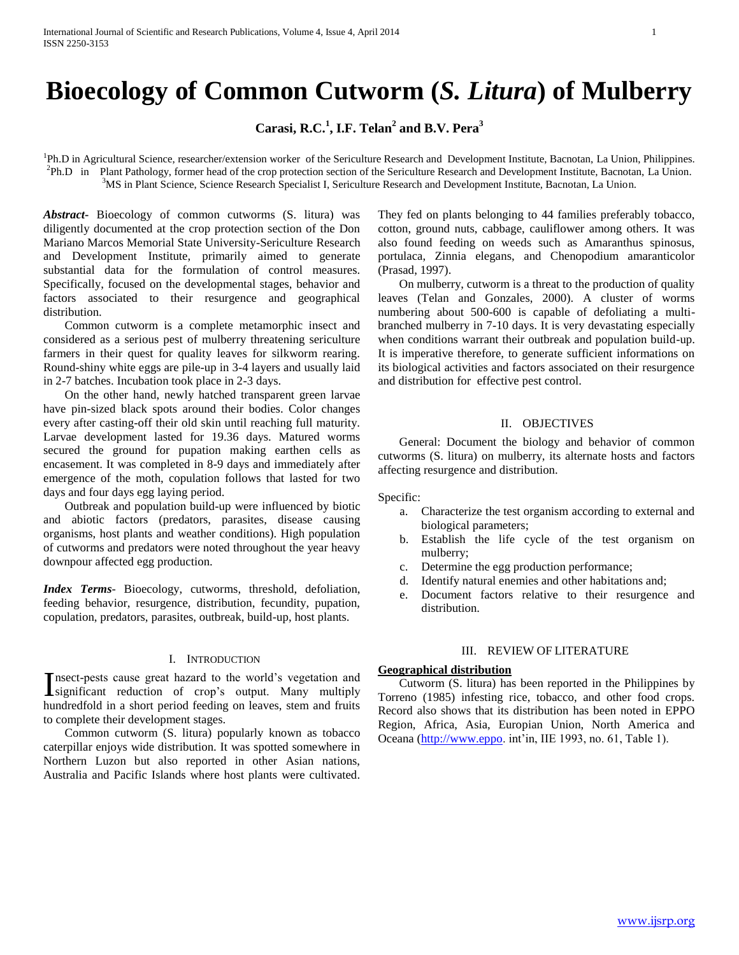# **Bioecology of Common Cutworm (***S. Litura***) of Mulberry**

**Carasi, R.C.<sup>1</sup> , I.F. Telan<sup>2</sup> and B.V. Pera<sup>3</sup>**

<sup>1</sup>Ph.D in Agricultural Science, researcher/extension worker of the Sericulture Research and Development Institute, Bacnotan, La Union, Philippines. 2 Ph.D in Plant Pathology, former head of the crop protection section of the Sericulture Research and Development Institute, Bacnotan, La Union. <sup>3</sup>MS in Plant Science, Science Research Specialist I, Sericulture Research and Development Institute, Bacnotan, La Union.

*Abstract***-** Bioecology of common cutworms (S. litura) was diligently documented at the crop protection section of the Don Mariano Marcos Memorial State University-Sericulture Research and Development Institute, primarily aimed to generate substantial data for the formulation of control measures. Specifically, focused on the developmental stages, behavior and factors associated to their resurgence and geographical distribution.

 Common cutworm is a complete metamorphic insect and considered as a serious pest of mulberry threatening sericulture farmers in their quest for quality leaves for silkworm rearing. Round-shiny white eggs are pile-up in 3-4 layers and usually laid in 2-7 batches. Incubation took place in 2-3 days.

 On the other hand, newly hatched transparent green larvae have pin-sized black spots around their bodies. Color changes every after casting-off their old skin until reaching full maturity. Larvae development lasted for 19.36 days. Matured worms secured the ground for pupation making earthen cells as encasement. It was completed in 8-9 days and immediately after emergence of the moth, copulation follows that lasted for two days and four days egg laying period.

 Outbreak and population build-up were influenced by biotic and abiotic factors (predators, parasites, disease causing organisms, host plants and weather conditions). High population of cutworms and predators were noted throughout the year heavy downpour affected egg production.

*Index Terms*- Bioecology, cutworms, threshold, defoliation, feeding behavior, resurgence, distribution, fecundity, pupation, copulation, predators, parasites, outbreak, build-up, host plants.

#### I. INTRODUCTION

nsect-pests cause great hazard to the world's vegetation and Insect-pests cause great hazard to the world's vegetation and significant reduction of crop's output. Many multiply hundredfold in a short period feeding on leaves, stem and fruits to complete their development stages.

 Common cutworm (S. litura) popularly known as tobacco caterpillar enjoys wide distribution. It was spotted somewhere in Northern Luzon but also reported in other Asian nations, Australia and Pacific Islands where host plants were cultivated.

They fed on plants belonging to 44 families preferably tobacco, cotton, ground nuts, cabbage, cauliflower among others. It was also found feeding on weeds such as Amaranthus spinosus, portulaca, Zinnia elegans, and Chenopodium amaranticolor (Prasad, 1997).

 On mulberry, cutworm is a threat to the production of quality leaves (Telan and Gonzales, 2000). A cluster of worms numbering about 500-600 is capable of defoliating a multibranched mulberry in 7-10 days. It is very devastating especially when conditions warrant their outbreak and population build-up. It is imperative therefore, to generate sufficient informations on its biological activities and factors associated on their resurgence and distribution for effective pest control.

## II. OBJECTIVES

 General: Document the biology and behavior of common cutworms (S. litura) on mulberry, its alternate hosts and factors affecting resurgence and distribution.

Specific:

- a. Characterize the test organism according to external and biological parameters;
- b. Establish the life cycle of the test organism on mulberry;
- c. Determine the egg production performance;
- d. Identify natural enemies and other habitations and;
- e. Document factors relative to their resurgence and distribution.

# III. REVIEW OF LITERATURE

## **Geographical distribution**

 Cutworm (S. litura) has been reported in the Philippines by Torreno (1985) infesting rice, tobacco, and other food crops. Record also shows that its distribution has been noted in EPPO Region, Africa, Asia, Europian Union, North America and Oceana [\(http://www.eppo.](http://www.eppo/) int'in, IIE 1993, no. 61, Table 1).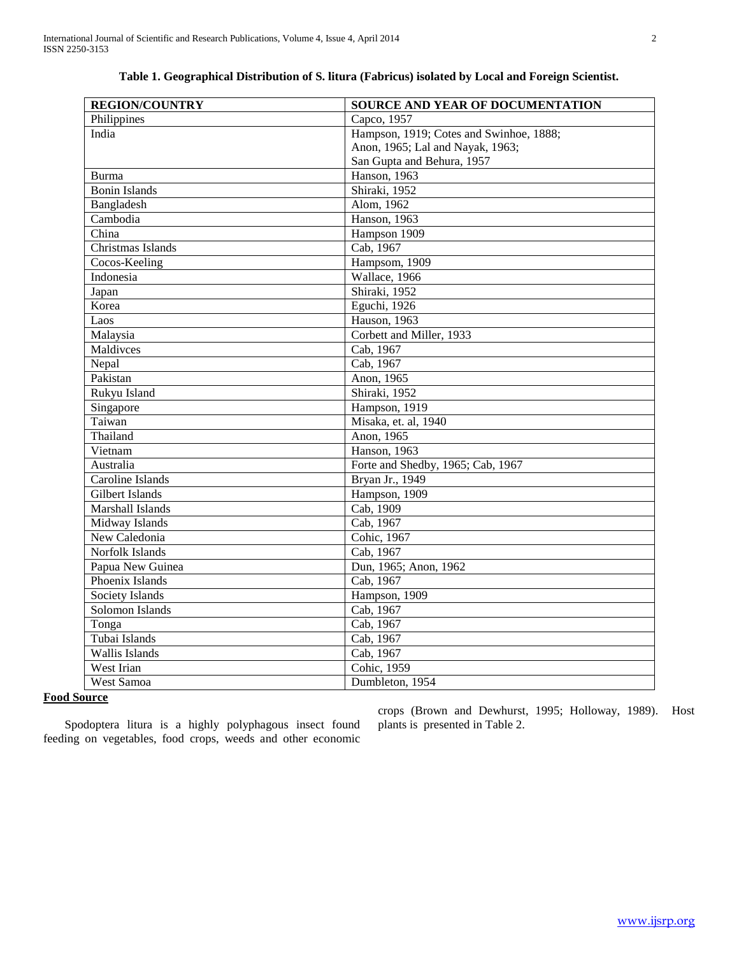| <b>REGION/COUNTRY</b> | SOURCE AND YEAR OF DOCUMENTATION        |  |  |
|-----------------------|-----------------------------------------|--|--|
| Philippines           | Capco, 1957                             |  |  |
| India                 | Hampson, 1919; Cotes and Swinhoe, 1888; |  |  |
|                       | Anon, 1965; Lal and Nayak, 1963;        |  |  |
|                       | San Gupta and Behura, 1957              |  |  |
| Burma                 | Hanson, 1963                            |  |  |
| <b>Bonin Islands</b>  | Shiraki, 1952                           |  |  |
| Bangladesh            | Alom, 1962                              |  |  |
| Cambodia              | Hanson, 1963                            |  |  |
| China                 | Hampson 1909                            |  |  |
| Christmas Islands     | Cab, 1967                               |  |  |
| Cocos-Keeling         | Hampsom, 1909                           |  |  |
| Indonesia             | Wallace, 1966                           |  |  |
| Japan                 | Shiraki, 1952                           |  |  |
| Korea                 | Eguchi, 1926                            |  |  |
| Laos                  | Hauson, 1963                            |  |  |
| Malaysia              | Corbett and Miller, 1933                |  |  |
| Maldivces             | Cab, 1967                               |  |  |
| Nepal                 | Cab, 1967                               |  |  |
| Pakistan              | Anon, 1965                              |  |  |
| Rukyu Island          | Shiraki, 1952                           |  |  |
| Singapore             | Hampson, 1919                           |  |  |
| Taiwan                | Misaka, et. al, 1940                    |  |  |
| Thailand              | Anon, 1965                              |  |  |
| Vietnam               | Hanson, 1963                            |  |  |
| Australia             | Forte and Shedby, 1965; Cab, 1967       |  |  |
| Caroline Islands      | Bryan Jr., 1949                         |  |  |
| Gilbert Islands       | Hampson, 1909                           |  |  |
| Marshall Islands      | Cab, 1909                               |  |  |
| Midway Islands        | Cab, 1967                               |  |  |
| New Caledonia         | Cohic, 1967                             |  |  |
| Norfolk Islands       | Cab, 1967                               |  |  |
| Papua New Guinea      | Dun, 1965; Anon, 1962                   |  |  |
| Phoenix Islands       | Cab, 1967                               |  |  |
| Society Islands       | Hampson, 1909                           |  |  |
| Solomon Islands       | Cab, 1967                               |  |  |
| Tonga                 | Cab, 1967                               |  |  |
| Tubai Islands         | Cab, 1967                               |  |  |
| Wallis Islands        | Cab, 1967                               |  |  |
| West Irian            | Cohic, 1959                             |  |  |
| West Samoa            | Dumbleton, 1954                         |  |  |
|                       |                                         |  |  |

## **Table 1. Geographical Distribution of S. litura (Fabricus) isolated by Local and Foreign Scientist.**

## **Food Source**

 Spodoptera litura is a highly polyphagous insect found feeding on vegetables, food crops, weeds and other economic

crops (Brown and Dewhurst, 1995; Holloway, 1989). Host plants is presented in Table 2.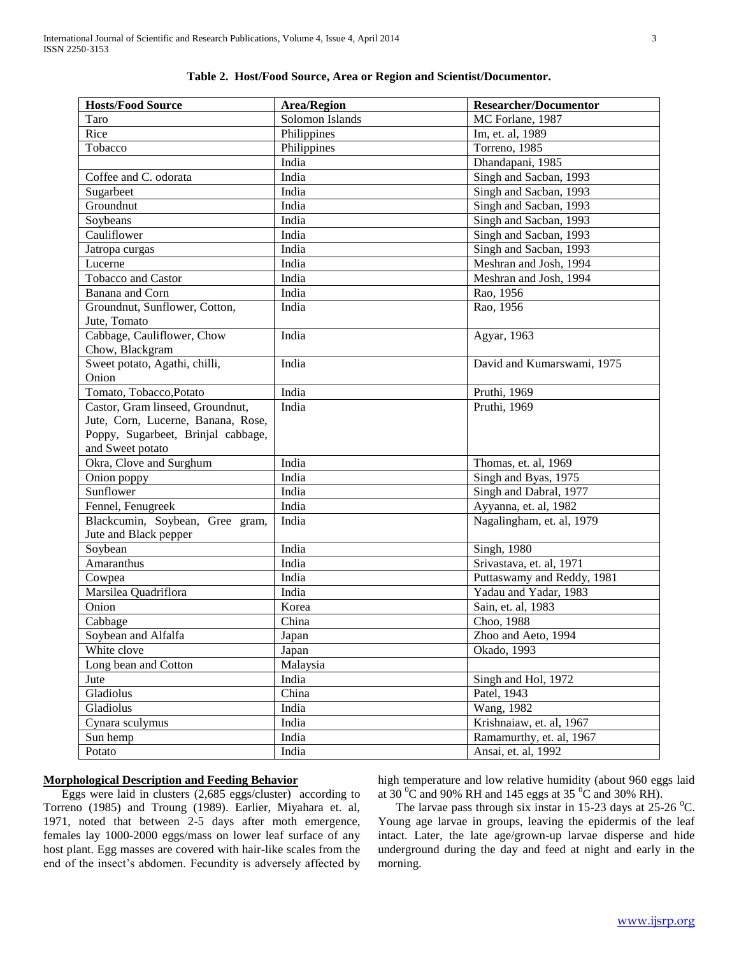| <b>Hosts/Food Source</b>           | <b>Area/Region</b> | <b>Researcher/Documentor</b> |
|------------------------------------|--------------------|------------------------------|
| Taro                               | Solomon Islands    | MC Forlane, 1987             |
| Rice                               | Philippines        | Im, et. al, 1989             |
| Tobacco                            | Philippines        | Torreno, 1985                |
|                                    | India              | Dhandapani, 1985             |
| Coffee and C. odorata              | India              | Singh and Sacban, 1993       |
| Sugarbeet                          | India              | Singh and Sacban, 1993       |
| Groundnut                          | India              | Singh and Sacban, 1993       |
| Soybeans                           | India              | Singh and Sacban, 1993       |
| Cauliflower                        | India              | Singh and Sacban, 1993       |
| Jatropa curgas                     | India              | Singh and Sacban, 1993       |
| Lucerne                            | India              | Meshran and Josh, 1994       |
| Tobacco and Castor                 | India              | Meshran and Josh, 1994       |
| Banana and Corn                    | India              | Rao, 1956                    |
| Groundnut, Sunflower, Cotton,      | India              | Rao, 1956                    |
| Jute, Tomato                       |                    |                              |
| Cabbage, Cauliflower, Chow         | India              | Agyar, 1963                  |
| Chow, Blackgram                    |                    |                              |
| Sweet potato, Agathi, chilli,      | India              | David and Kumarswami, 1975   |
| Onion                              |                    |                              |
| Tomato, Tobacco, Potato            | India              | Pruthi, 1969                 |
| Castor, Gram linseed, Groundnut,   | India              | Pruthi, 1969                 |
| Jute, Corn, Lucerne, Banana, Rose, |                    |                              |
| Poppy, Sugarbeet, Brinjal cabbage, |                    |                              |
| and Sweet potato                   |                    |                              |
| Okra, Clove and Surghum            | India              | Thomas, et. al, 1969         |
| Onion poppy                        | India              | Singh and Byas, 1975         |
| Sunflower                          | India              | Singh and Dabral, 1977       |
| Fennel, Fenugreek                  | India              | Ayyanna, et. al, 1982        |
| Blackcumin, Soybean, Gree gram,    | India              | Nagalingham, et. al, 1979    |
| Jute and Black pepper              |                    |                              |
| Soybean                            | India              | Singh, 1980                  |
| Amaranthus                         | India              | Srivastava, et. al, 1971     |
| Cowpea                             | India              | Puttaswamy and Reddy, 1981   |
| Marsilea Quadriflora               | India              | Yadau and Yadar, 1983        |
| Onion                              | Korea              | Sain, et. al, 1983           |
| Cabbage                            | China              | Choo, 1988                   |
| Soybean and Alfalfa                | Japan              | Zhoo and Aeto, 1994          |
| White clove                        | Japan              | Okado, 1993                  |
| Long bean and Cotton               | Malaysia           |                              |
| Jute                               | India              | Singh and Hol, 1972          |
| Gladiolus                          | China              | Patel, 1943                  |
| Gladiolus                          | India              | Wang, 1982                   |
| Cynara sculymus                    | India              | Krishnaiaw, et. al, 1967     |
| Sun hemp                           | India              | Ramamurthy, et. al, 1967     |
| Potato                             | India              | Ansai, et. al, 1992          |

|  |  | Table 2. Host/Food Source, Area or Region and Scientist/Documentor. |
|--|--|---------------------------------------------------------------------|
|  |  |                                                                     |

## **Morphological Description and Feeding Behavior**

 Eggs were laid in clusters (2,685 eggs/cluster) according to Torreno (1985) and Troung (1989). Earlier, Miyahara et. al, 1971, noted that between 2-5 days after moth emergence, females lay 1000-2000 eggs/mass on lower leaf surface of any host plant. Egg masses are covered with hair-like scales from the end of the insect's abdomen. Fecundity is adversely affected by

high temperature and low relative humidity (about 960 eggs laid at  $30^{\circ}$ C and  $90\%$  RH and 145 eggs at  $35^{\circ}$ C and  $30\%$  RH).

The larvae pass through six instar in 15-23 days at  $25{\text -}26$  °C. Young age larvae in groups, leaving the epidermis of the leaf intact. Later, the late age/grown-up larvae disperse and hide underground during the day and feed at night and early in the morning.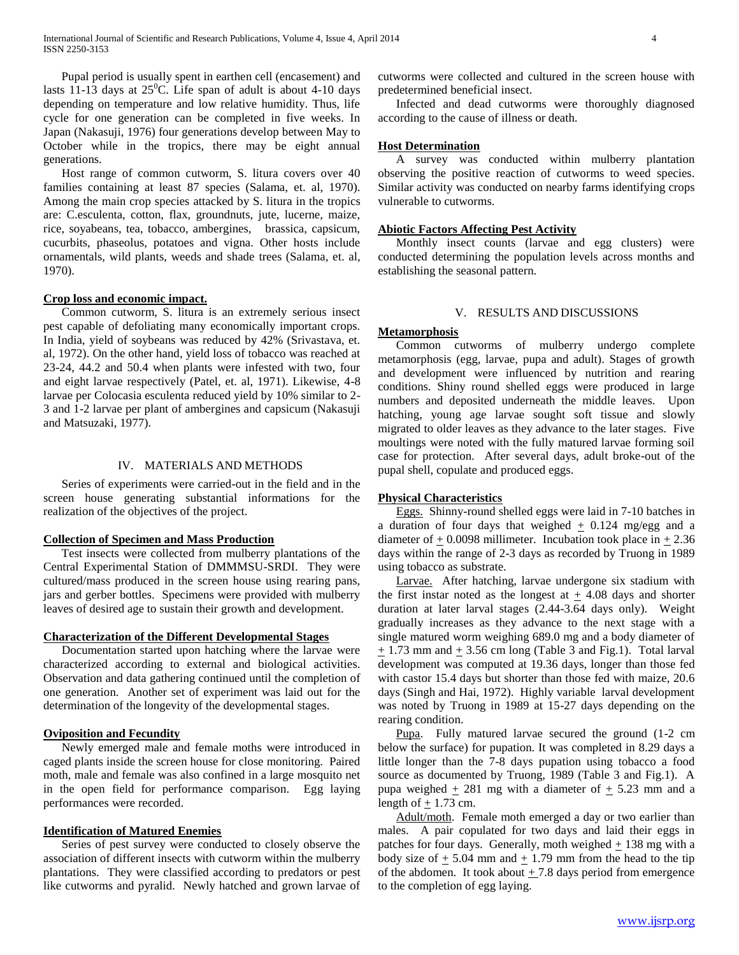Pupal period is usually spent in earthen cell (encasement) and lasts 11-13 days at  $25^{\circ}$ C. Life span of adult is about 4-10 days depending on temperature and low relative humidity. Thus, life cycle for one generation can be completed in five weeks. In Japan (Nakasuji, 1976) four generations develop between May to October while in the tropics, there may be eight annual generations.

 Host range of common cutworm, S. litura covers over 40 families containing at least 87 species (Salama, et. al, 1970). Among the main crop species attacked by S. litura in the tropics are: C.esculenta, cotton, flax, groundnuts, jute, lucerne, maize, rice, soyabeans, tea, tobacco, ambergines, brassica, capsicum, cucurbits, phaseolus, potatoes and vigna. Other hosts include ornamentals, wild plants, weeds and shade trees (Salama, et. al, 1970).

#### **Crop loss and economic impact.**

 Common cutworm, S. litura is an extremely serious insect pest capable of defoliating many economically important crops. In India, yield of soybeans was reduced by 42% (Srivastava, et. al, 1972). On the other hand, yield loss of tobacco was reached at 23-24, 44.2 and 50.4 when plants were infested with two, four and eight larvae respectively (Patel, et. al, 1971). Likewise, 4-8 larvae per Colocasia esculenta reduced yield by 10% similar to 2- 3 and 1-2 larvae per plant of ambergines and capsicum (Nakasuji and Matsuzaki, 1977).

#### IV. MATERIALS AND METHODS

 Series of experiments were carried-out in the field and in the screen house generating substantial informations for the realization of the objectives of the project.

#### **Collection of Specimen and Mass Production**

 Test insects were collected from mulberry plantations of the Central Experimental Station of DMMMSU-SRDI. They were cultured/mass produced in the screen house using rearing pans, jars and gerber bottles. Specimens were provided with mulberry leaves of desired age to sustain their growth and development.

## **Characterization of the Different Developmental Stages**

 Documentation started upon hatching where the larvae were characterized according to external and biological activities. Observation and data gathering continued until the completion of one generation. Another set of experiment was laid out for the determination of the longevity of the developmental stages.

#### **Oviposition and Fecundity**

 Newly emerged male and female moths were introduced in caged plants inside the screen house for close monitoring. Paired moth, male and female was also confined in a large mosquito net in the open field for performance comparison. Egg laying performances were recorded.

#### **Identification of Matured Enemies**

 Series of pest survey were conducted to closely observe the association of different insects with cutworm within the mulberry plantations. They were classified according to predators or pest like cutworms and pyralid. Newly hatched and grown larvae of cutworms were collected and cultured in the screen house with predetermined beneficial insect.

 Infected and dead cutworms were thoroughly diagnosed according to the cause of illness or death.

## **Host Determination**

 A survey was conducted within mulberry plantation observing the positive reaction of cutworms to weed species. Similar activity was conducted on nearby farms identifying crops vulnerable to cutworms.

#### **Abiotic Factors Affecting Pest Activity**

 Monthly insect counts (larvae and egg clusters) were conducted determining the population levels across months and establishing the seasonal pattern.

## V. RESULTS AND DISCUSSIONS

#### **Metamorphosis**

 Common cutworms of mulberry undergo complete metamorphosis (egg, larvae, pupa and adult). Stages of growth and development were influenced by nutrition and rearing conditions. Shiny round shelled eggs were produced in large numbers and deposited underneath the middle leaves. Upon hatching, young age larvae sought soft tissue and slowly migrated to older leaves as they advance to the later stages. Five moultings were noted with the fully matured larvae forming soil case for protection. After several days, adult broke-out of the pupal shell, copulate and produced eggs.

#### **Physical Characteristics**

 Eggs. Shinny-round shelled eggs were laid in 7-10 batches in a duration of four days that weighed  $\pm$  0.124 mg/egg and a diameter of  $\pm$  0.0098 millimeter. Incubation took place in  $\pm$  2.36 days within the range of 2-3 days as recorded by Truong in 1989 using tobacco as substrate.

 Larvae. After hatching, larvae undergone six stadium with the first instar noted as the longest at  $\pm$  4.08 days and shorter duration at later larval stages (2.44-3.64 days only). Weight gradually increases as they advance to the next stage with a single matured worm weighing 689.0 mg and a body diameter of  $+ 1.73$  mm and  $+ 3.56$  cm long (Table 3 and Fig.1). Total larval development was computed at 19.36 days, longer than those fed with castor 15.4 days but shorter than those fed with maize, 20.6 days (Singh and Hai, 1972). Highly variable larval development was noted by Truong in 1989 at 15-27 days depending on the rearing condition.

 Pupa. Fully matured larvae secured the ground (1-2 cm below the surface) for pupation. It was completed in 8.29 days a little longer than the 7-8 days pupation using tobacco a food source as documented by Truong, 1989 (Table 3 and Fig.1). A pupa weighed  $\pm$  281 mg with a diameter of  $\pm$  5.23 mm and a length of  $\pm$  1.73 cm.

 Adult/moth. Female moth emerged a day or two earlier than males. A pair copulated for two days and laid their eggs in patches for four days. Generally, moth weighed  $\pm$  138 mg with a body size of  $\pm$  5.04 mm and  $\pm$  1.79 mm from the head to the tip of the abdomen. It took about  $\pm$  7.8 days period from emergence to the completion of egg laying.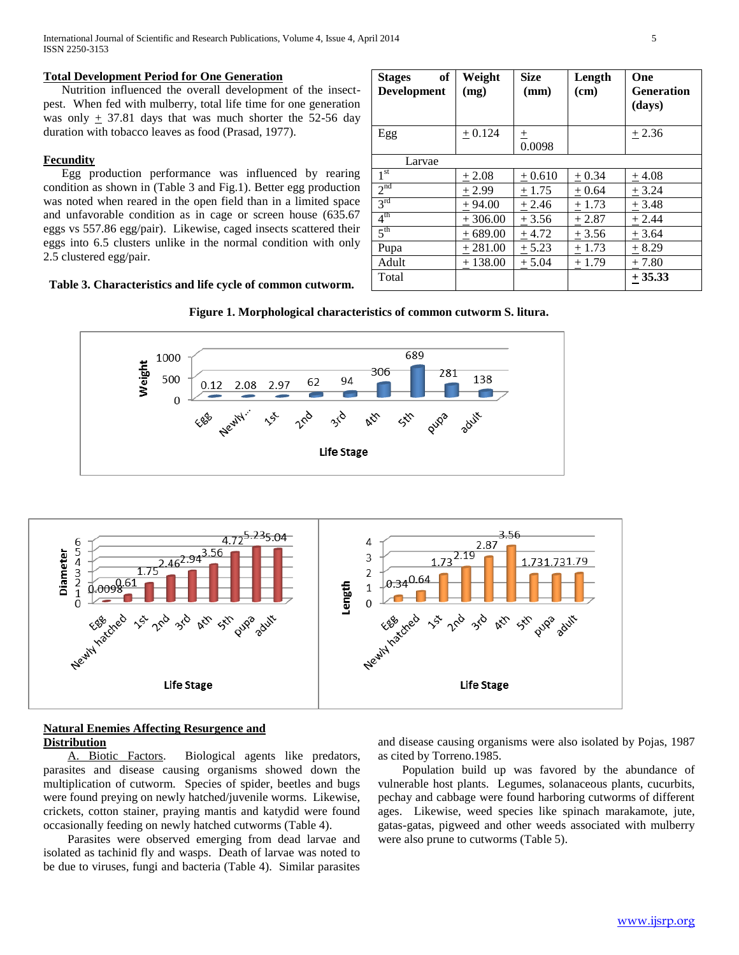International Journal of Scientific and Research Publications, Volume 4, Issue 4, April 2014 5 ISSN 2250-3153

#### **Total Development Period for One Generation**

 Nutrition influenced the overall development of the insectpest. When fed with mulberry, total life time for one generation was only  $+ 37.81$  days that was much shorter the 52-56 day duration with tobacco leaves as food (Prasad, 1977).

#### **Fecundity**

 Egg production performance was influenced by rearing condition as shown in (Table 3 and Fig.1). Better egg production was noted when reared in the open field than in a limited space and unfavorable condition as in cage or screen house (635.67 eggs vs 557.86 egg/pair). Likewise, caged insects scattered their eggs into 6.5 clusters unlike in the normal condition with only 2.5 clustered egg/pair.

## **Table 3. Characteristics and life cycle of common cutworm.**

| of<br><b>Stages</b><br>Development | Weight<br>(mg) | <b>Size</b><br>(mm) | Length<br>(cm) | One<br><b>Generation</b><br>(days) |
|------------------------------------|----------------|---------------------|----------------|------------------------------------|
| Egg                                | $+0.124$       | 土<br>0.0098         |                | $+2.36$                            |
| Larvae                             |                |                     |                |                                    |
| 1 <sup>st</sup>                    | $+2.08$        | $+0.610$            | $+0.34$        | $+4.08$                            |
| 2 <sup>nd</sup>                    | $+2.99$        | $+1.75$             | $+0.64$        | $+3.24$                            |
| 3 <sup>rd</sup>                    | $+94.00$       | $+2.46$             | $+1.73$        | $+3.48$                            |
| 4 <sup>th</sup>                    | $+306.00$      | $+3.56$             | $+2.87$        | $+2.44$                            |
| 5 <sup>th</sup>                    | $+689.00$      | $+4.72$             | $+3.56$        | $+3.64$                            |
| Pupa                               | $+281.00$      | $+5.23$             | $+1.73$        | $+8.29$                            |
| Adult                              | $+138.00$      | $+5.04$             | $+1.79$        | $+7.80$                            |
| Total                              |                |                     |                | $+35.33$                           |







## **Natural Enemies Affecting Resurgence and Distribution**

 A. Biotic Factors. Biological agents like predators, parasites and disease causing organisms showed down the multiplication of cutworm. Species of spider, beetles and bugs were found preying on newly hatched/juvenile worms. Likewise, crickets, cotton stainer, praying mantis and katydid were found occasionally feeding on newly hatched cutworms (Table 4).

 Parasites were observed emerging from dead larvae and isolated as tachinid fly and wasps. Death of larvae was noted to be due to viruses, fungi and bacteria (Table 4). Similar parasites

and disease causing organisms were also isolated by Pojas, 1987 as cited by Torreno.1985.

 Population build up was favored by the abundance of vulnerable host plants. Legumes, solanaceous plants, cucurbits, pechay and cabbage were found harboring cutworms of different ages. Likewise, weed species like spinach marakamote, jute, gatas-gatas, pigweed and other weeds associated with mulberry were also prune to cutworms (Table 5).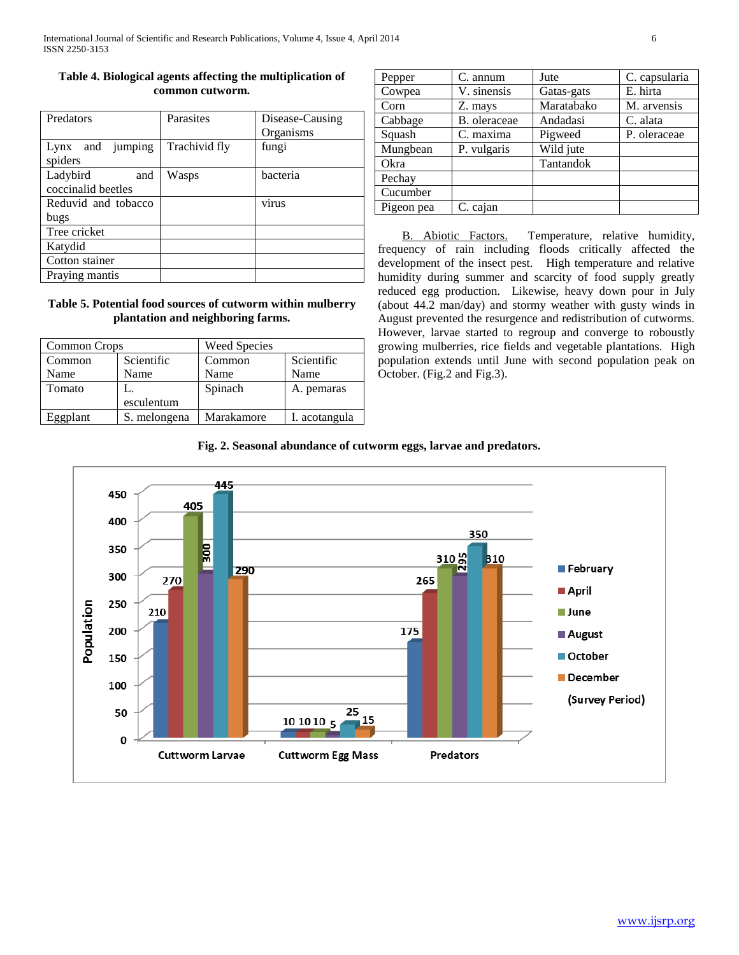## **Table 4. Biological agents affecting the multiplication of common cutworm.**

| Predators           | Parasites     | Disease-Causing |
|---------------------|---------------|-----------------|
|                     |               | Organisms       |
| and jumping<br>Lynx | Trachivid fly | fungi           |
| spiders             |               |                 |
| Ladybird<br>and     | Wasps         | bacteria        |
| coccinalid beetles  |               |                 |
| Reduvid and tobacco |               | virus           |
| bugs                |               |                 |
| Tree cricket        |               |                 |
| Katydid             |               |                 |
| Cotton stainer      |               |                 |
| Praying mantis      |               |                 |

## **Table 5. Potential food sources of cutworm within mulberry plantation and neighboring farms.**

| Common Crops |              | <b>Weed Species</b> |               |
|--------------|--------------|---------------------|---------------|
| Common       | Scientific   | Common              | Scientific    |
| Name         | Name         | Name                | Name          |
| Tomato       |              | Spinach             | A. pemaras    |
|              | esculentum   |                     |               |
| Eggplant     | S. melongena | Marakamore          | I. acotangula |

| Pepper     | C. annum     | Jute       | C. capsularia |
|------------|--------------|------------|---------------|
| Cowpea     | V. sinensis  | Gatas-gats | E. hirta      |
| Corn       | Z. mays      | Maratabako | M. arvensis   |
| Cabbage    | B. oleraceae | Andadasi   | C. alata      |
| Squash     | C. maxima    | Pigweed    | P. oleraceae  |
| Mungbean   | P. vulgaris  | Wild jute  |               |
| Okra       |              | Tantandok  |               |
| Pechay     |              |            |               |
| Cucumber   |              |            |               |
| Pigeon pea | C. cajan     |            |               |

B. Abiotic Factors. Temperature, relative humidity, frequency of rain including floods critically affected the development of the insect pest. High temperature and relative humidity during summer and scarcity of food supply greatly reduced egg production. Likewise, heavy down pour in July (about 44.2 man/day) and stormy weather with gusty winds in August prevented the resurgence and redistribution of cutworms. However, larvae started to regroup and converge to roboustly growing mulberries, rice fields and vegetable plantations. High population extends until June with second population peak on October. (Fig.2 and Fig.3).

## **Fig. 2. Seasonal abundance of cutworm eggs, larvae and predators.**

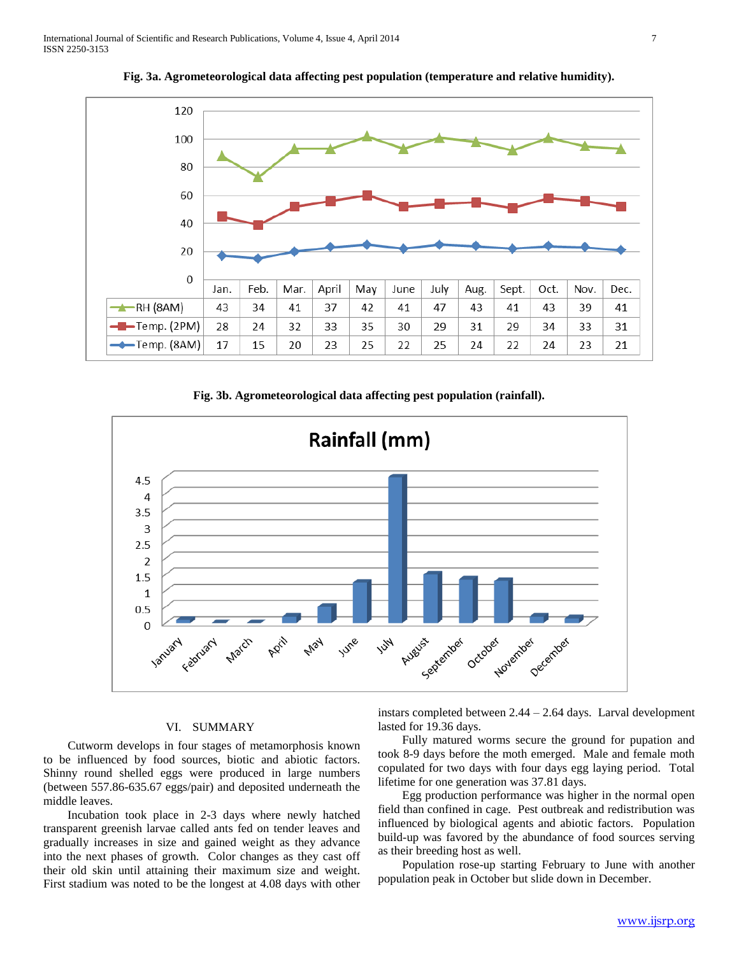

**Fig. 3a. Agrometeorological data affecting pest population (temperature and relative humidity).**

**Fig. 3b. Agrometeorological data affecting pest population (rainfall).**



## VI. SUMMARY

 Cutworm develops in four stages of metamorphosis known to be influenced by food sources, biotic and abiotic factors. Shinny round shelled eggs were produced in large numbers (between 557.86-635.67 eggs/pair) and deposited underneath the middle leaves.

 Incubation took place in 2-3 days where newly hatched transparent greenish larvae called ants fed on tender leaves and gradually increases in size and gained weight as they advance into the next phases of growth. Color changes as they cast off their old skin until attaining their maximum size and weight. First stadium was noted to be the longest at 4.08 days with other

instars completed between 2.44 – 2.64 days. Larval development lasted for 19.36 days.

 Fully matured worms secure the ground for pupation and took 8-9 days before the moth emerged. Male and female moth copulated for two days with four days egg laying period. Total lifetime for one generation was 37.81 days.

 Egg production performance was higher in the normal open field than confined in cage. Pest outbreak and redistribution was influenced by biological agents and abiotic factors. Population build-up was favored by the abundance of food sources serving as their breeding host as well.

 Population rose-up starting February to June with another population peak in October but slide down in December.